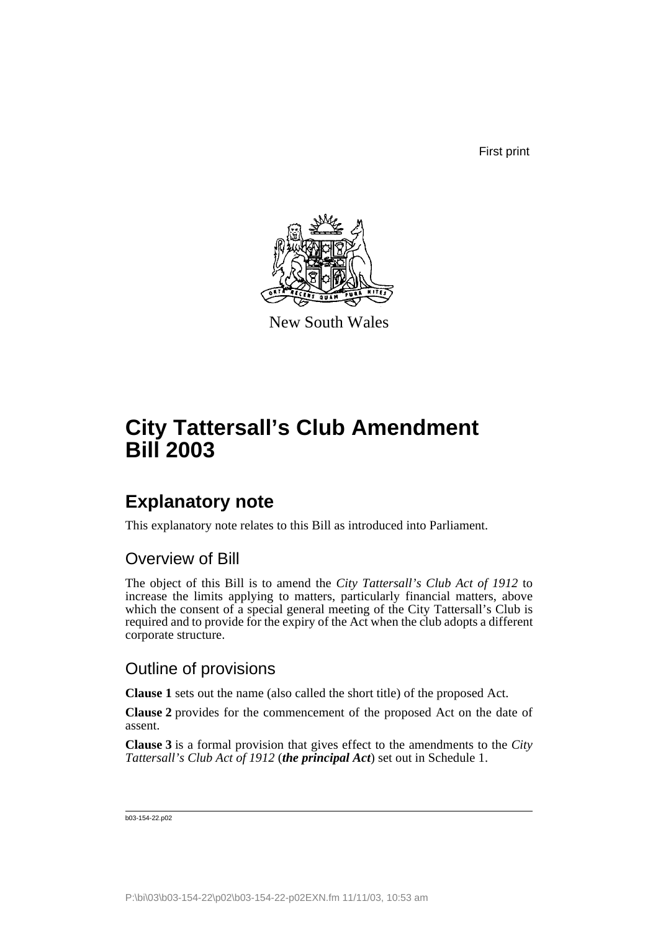First print



New South Wales

# **City Tattersall's Club Amendment Bill 2003**

### **Explanatory note**

This explanatory note relates to this Bill as introduced into Parliament.

#### Overview of Bill

The object of this Bill is to amend the *City Tattersall's Club Act of 1912* to increase the limits applying to matters, particularly financial matters, above which the consent of a special general meeting of the City Tattersall's Club is required and to provide for the expiry of the Act when the club adopts a different corporate structure.

#### Outline of provisions

**Clause 1** sets out the name (also called the short title) of the proposed Act.

**Clause 2** provides for the commencement of the proposed Act on the date of assent.

**Clause 3** is a formal provision that gives effect to the amendments to the *City Tattersall's Club Act of 1912* (*the principal Act*) set out in Schedule 1.

b03-154-22.p02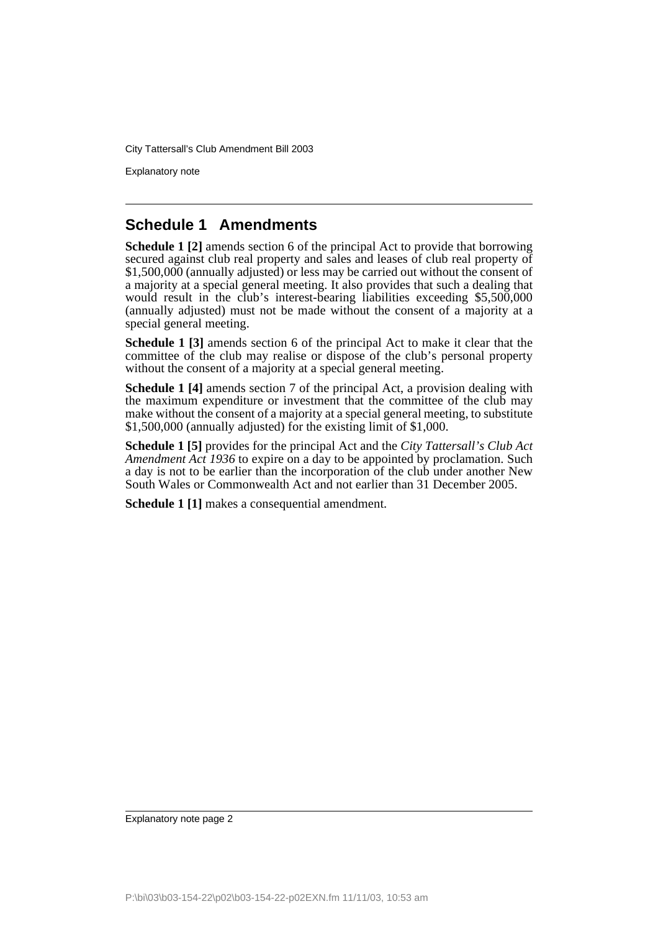Explanatory note

#### **Schedule 1 Amendments**

**Schedule 1 [2]** amends section 6 of the principal Act to provide that borrowing secured against club real property and sales and leases of club real property of \$1,500,000 (annually adjusted) or less may be carried out without the consent of a majority at a special general meeting. It also provides that such a dealing that would result in the club's interest-bearing liabilities exceeding \$5,500,000 (annually adjusted) must not be made without the consent of a majority at a special general meeting.

**Schedule 1 [3]** amends section 6 of the principal Act to make it clear that the committee of the club may realise or dispose of the club's personal property without the consent of a majority at a special general meeting.

**Schedule 1 [4]** amends section 7 of the principal Act, a provision dealing with the maximum expenditure or investment that the committee of the club may make without the consent of a majority at a special general meeting, to substitute \$1,500,000 (annually adjusted) for the existing limit of \$1,000.

**Schedule 1 [5]** provides for the principal Act and the *City Tattersall's Club Act Amendment Act 1936* to expire on a day to be appointed by proclamation. Such a day is not to be earlier than the incorporation of the club under another New South Wales or Commonwealth Act and not earlier than 31 December 2005.

**Schedule 1 [1]** makes a consequential amendment.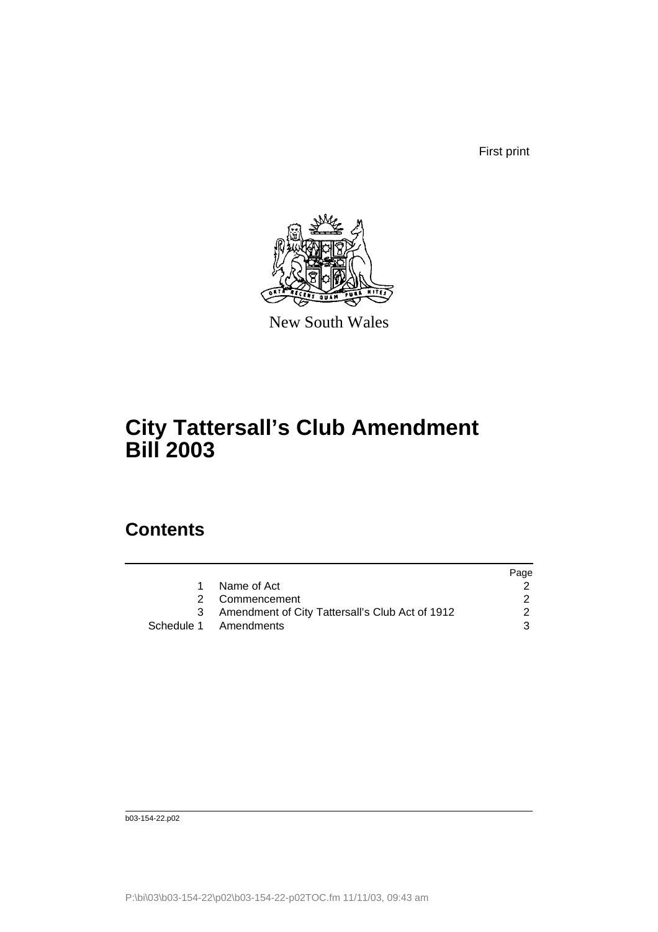First print



New South Wales

### **City Tattersall's Club Amendment Bill 2003**

## **Contents**

|             | Page                                                                                         |
|-------------|----------------------------------------------------------------------------------------------|
| Name of Act |                                                                                              |
|             |                                                                                              |
|             | $\mathcal{P}$                                                                                |
|             | 3                                                                                            |
|             | 2 Commencement<br>3 Amendment of City Tattersall's Club Act of 1912<br>Schedule 1 Amendments |

b03-154-22.p02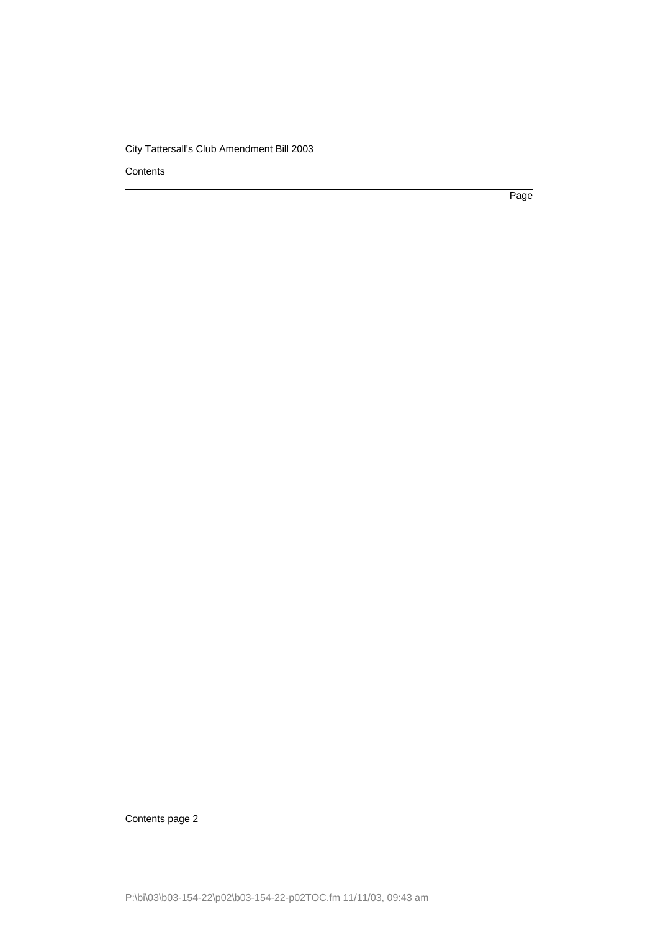**Contents** 

Page

Contents page 2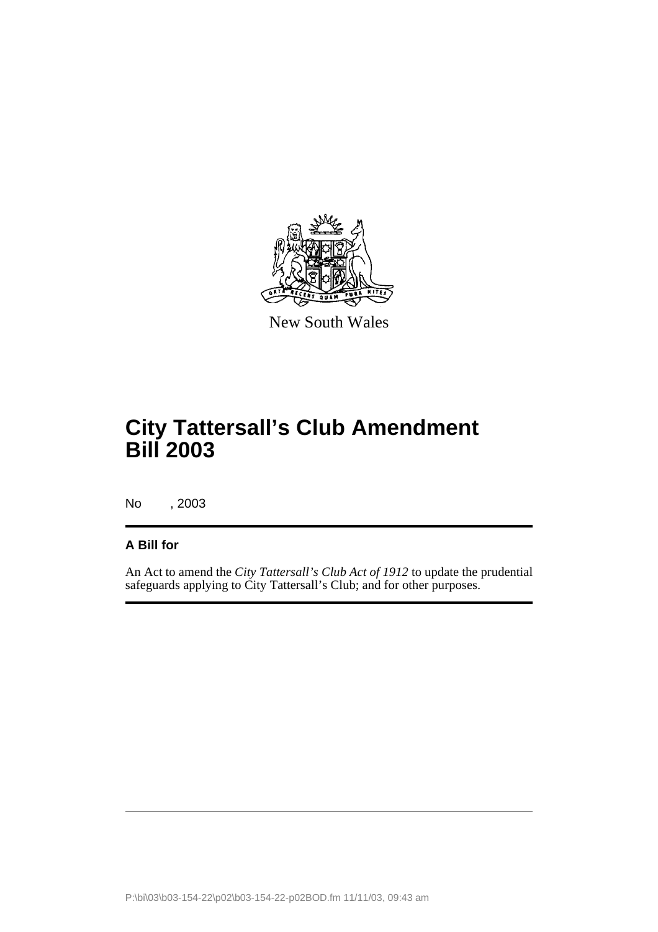

New South Wales

# **City Tattersall's Club Amendment Bill 2003**

No , 2003

#### **A Bill for**

An Act to amend the *City Tattersall's Club Act of 1912* to update the prudential safeguards applying to City Tattersall's Club; and for other purposes.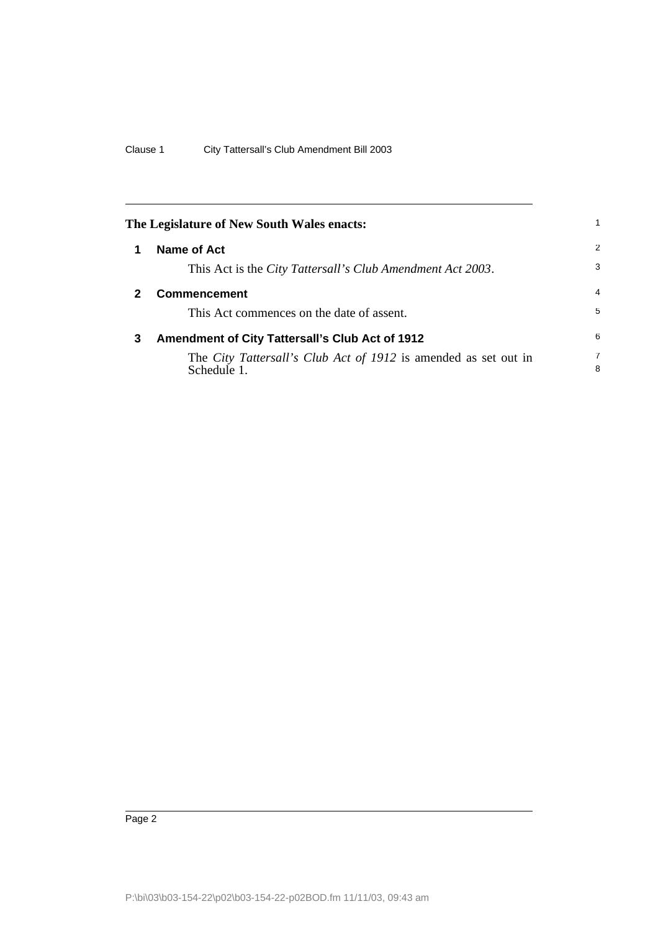<span id="page-5-2"></span><span id="page-5-1"></span><span id="page-5-0"></span>

| The Legislature of New South Wales enacts: |                                                                                |                     |  |  |
|--------------------------------------------|--------------------------------------------------------------------------------|---------------------|--|--|
|                                            | Name of Act                                                                    | 2                   |  |  |
|                                            | This Act is the <i>City Tattersall's Club Amendment Act 2003</i> .             | 3                   |  |  |
|                                            | <b>Commencement</b>                                                            | $\overline{4}$      |  |  |
|                                            | This Act commences on the date of assent.                                      | 5                   |  |  |
| 3                                          | <b>Amendment of City Tattersall's Club Act of 1912</b>                         | 6                   |  |  |
|                                            | The City Tattersall's Club Act of 1912 is amended as set out in<br>Schedule 1. | $\overline{7}$<br>8 |  |  |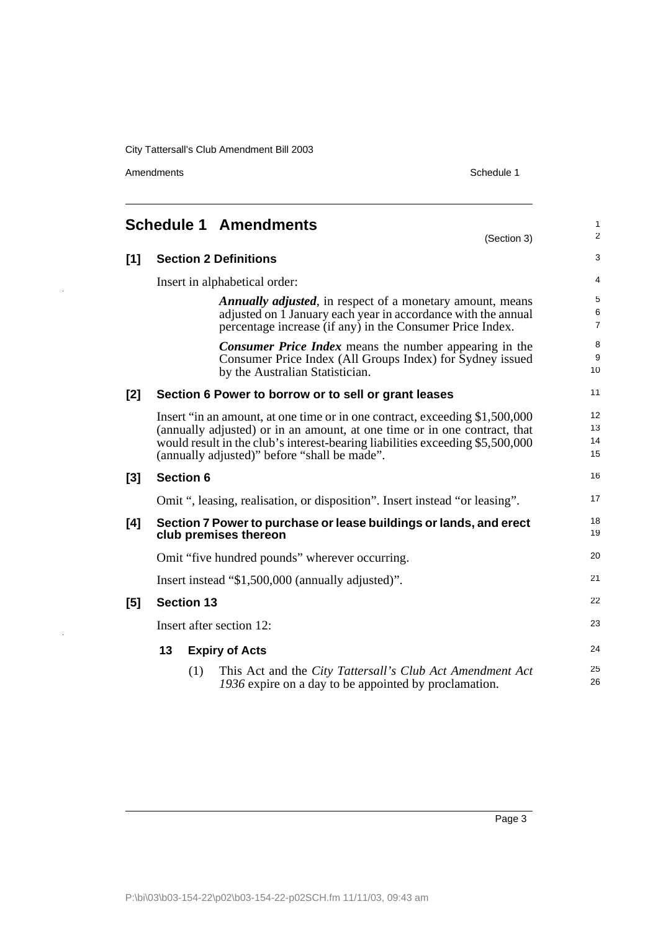Amendments Schedule 1

 $\ddot{\phantom{0}}$ 

l,

<span id="page-6-0"></span>

|       |                                                                                             |     | <b>Schedule 1 Amendments</b><br>(Section 3)                                                                                                                                                                                                                                               | $\mathbf{1}$<br>2                 |
|-------|---------------------------------------------------------------------------------------------|-----|-------------------------------------------------------------------------------------------------------------------------------------------------------------------------------------------------------------------------------------------------------------------------------------------|-----------------------------------|
| $[1]$ |                                                                                             |     | <b>Section 2 Definitions</b>                                                                                                                                                                                                                                                              | 3                                 |
|       | Insert in alphabetical order:                                                               |     |                                                                                                                                                                                                                                                                                           |                                   |
|       |                                                                                             |     | <b>Annually adjusted, in respect of a monetary amount, means</b><br>adjusted on 1 January each year in accordance with the annual<br>percentage increase (if any) in the Consumer Price Index.                                                                                            | 5<br>6<br>$\overline{7}$          |
|       |                                                                                             |     | <b>Consumer Price Index</b> means the number appearing in the<br>Consumer Price Index (All Groups Index) for Sydney issued<br>by the Australian Statistician.                                                                                                                             | 8<br>9<br>10                      |
| [2]   |                                                                                             |     | Section 6 Power to borrow or to sell or grant leases                                                                                                                                                                                                                                      | 11                                |
|       |                                                                                             |     | Insert "in an amount, at one time or in one contract, exceeding \$1,500,000<br>(annually adjusted) or in an amount, at one time or in one contract, that<br>would result in the club's interest-bearing liabilities exceeding \$5,500,000<br>(annually adjusted)" before "shall be made". | 12 <sup>2</sup><br>13<br>14<br>15 |
| $[3]$ | <b>Section 6</b>                                                                            |     |                                                                                                                                                                                                                                                                                           | 16                                |
|       | Omit ", leasing, realisation, or disposition". Insert instead "or leasing".                 |     |                                                                                                                                                                                                                                                                                           |                                   |
| [4]   | Section 7 Power to purchase or lease buildings or lands, and erect<br>club premises thereon |     |                                                                                                                                                                                                                                                                                           | 18<br>19                          |
|       | Omit "five hundred pounds" wherever occurring.                                              |     |                                                                                                                                                                                                                                                                                           |                                   |
|       | Insert instead "\$1,500,000 (annually adjusted)".                                           |     |                                                                                                                                                                                                                                                                                           |                                   |
| [5]   | <b>Section 13</b>                                                                           |     |                                                                                                                                                                                                                                                                                           | 22                                |
|       | Insert after section 12:                                                                    |     |                                                                                                                                                                                                                                                                                           |                                   |
|       | 13                                                                                          |     | <b>Expiry of Acts</b>                                                                                                                                                                                                                                                                     | 24                                |
|       |                                                                                             | (1) | This Act and the City Tattersall's Club Act Amendment Act<br>1936 expire on a day to be appointed by proclamation.                                                                                                                                                                        | 25<br>26                          |

Page 3